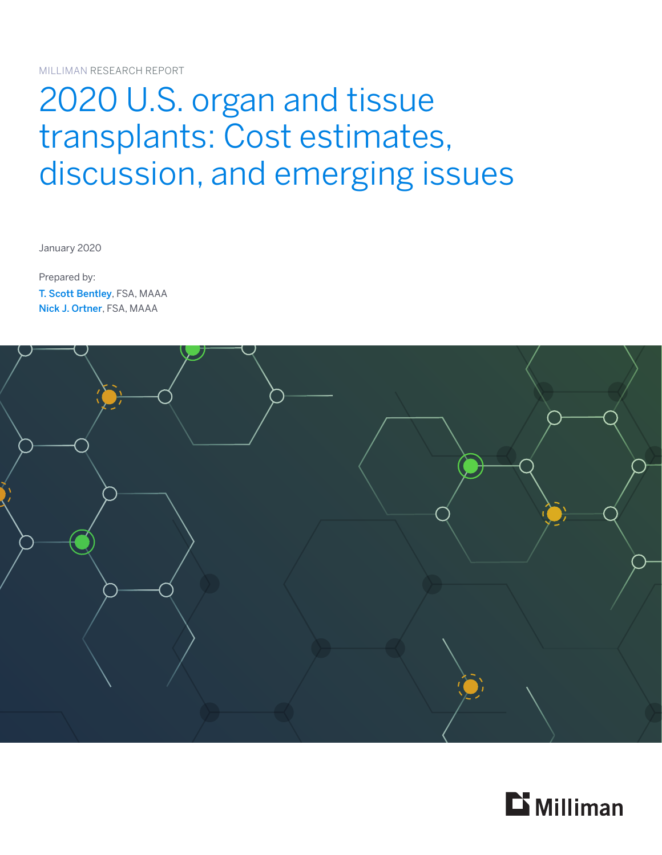MILLIMAN RESEARCH REPORT

# 2020 U.S. organ and tissue transplants: Cost estimates, discussion, and emerging issues

January 2020

Prepared by: T. Scott Bentley, FSA, MAAA Nick J. Ortner, FSA, MAAA



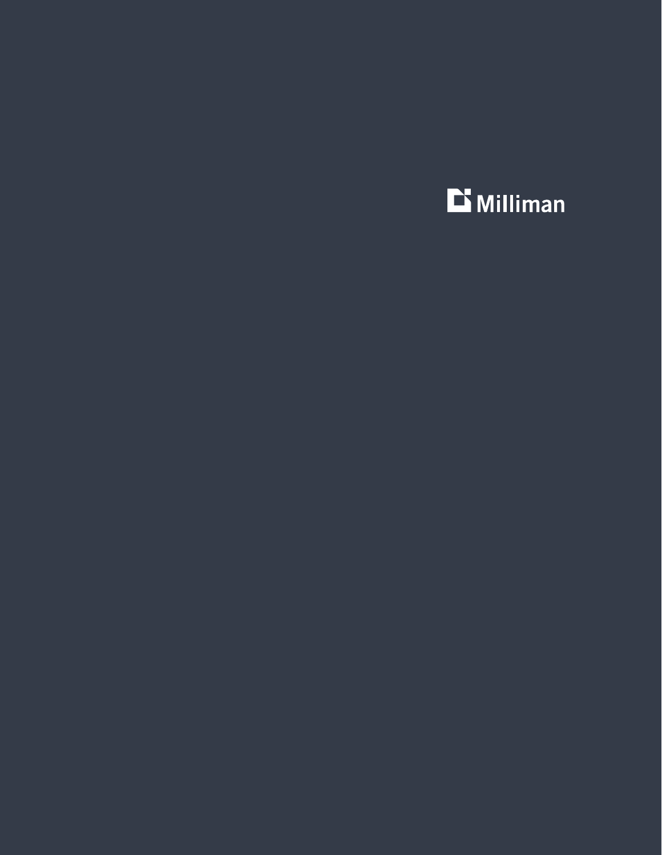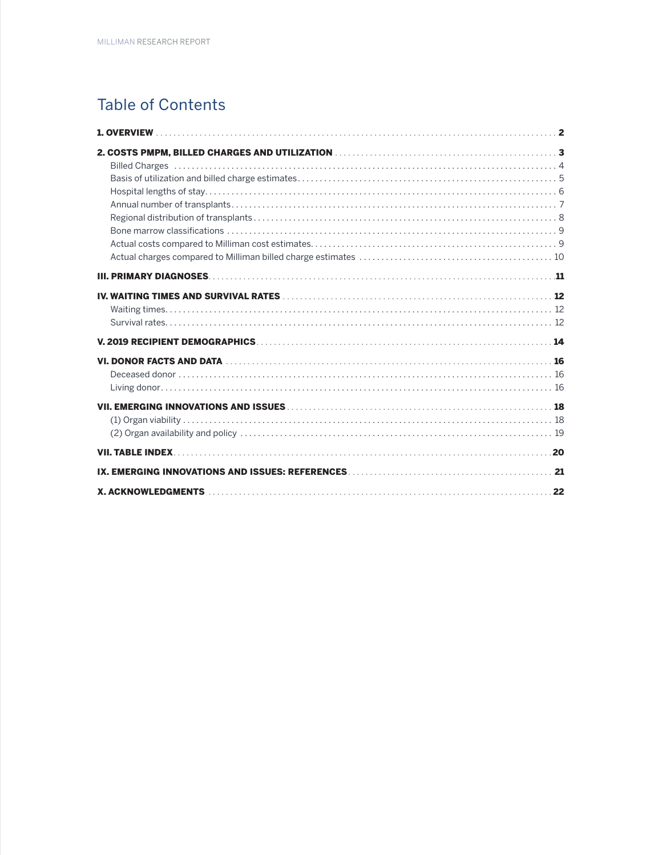# **Table of Contents**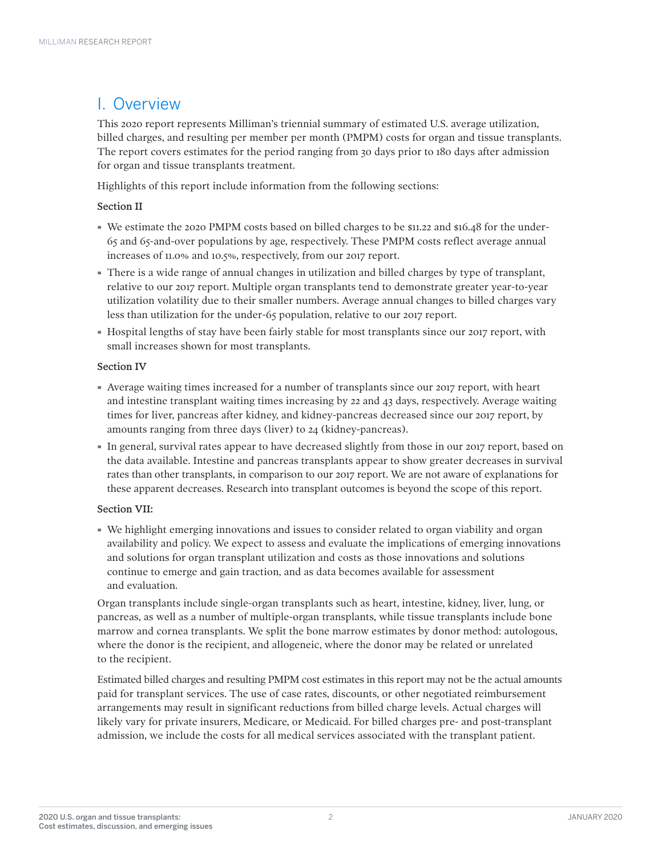# I. Overview

This 2020 report represents Milliman's triennial summary of estimated U.S. average utilization, billed charges, and resulting per member per month (PMPM) costs for organ and tissue transplants. The report covers estimates for the period ranging from 30 days prior to 180 days after admission for organ and tissue transplants treatment.

Highlights of this report include information from the following sections:

# Section II

- · We estimate the 2020 PMPM costs based on billed charges to be \$11.22 and \$16.48 for the under-65 and 65-and-over populations by age, respectively. These PMPM costs reflect average annual increases of 11.0% and 10.5%, respectively, from our 2017 report.
- · There is a wide range of annual changes in utilization and billed charges by type of transplant, relative to our 2017 report. Multiple organ transplants tend to demonstrate greater year-to-year utilization volatility due to their smaller numbers. Average annual changes to billed charges vary less than utilization for the under-65 population, relative to our 2017 report.
- · Hospital lengths of stay have been fairly stable for most transplants since our 2017 report, with small increases shown for most transplants.

# Section IV

- · Average waiting times increased for a number of transplants since our 2017 report, with heart and intestine transplant waiting times increasing by 22 and 43 days, respectively. Average waiting times for liver, pancreas after kidney, and kidney-pancreas decreased since our 2017 report, by amounts ranging from three days (liver) to 24 (kidney-pancreas).
- · In general, survival rates appear to have decreased slightly from those in our 2017 report, based on the data available. Intestine and pancreas transplants appear to show greater decreases in survival rates than other transplants, in comparison to our 2017 report. We are not aware of explanations for these apparent decreases. Research into transplant outcomes is beyond the scope of this report.

# Section VII:

· We highlight emerging innovations and issues to consider related to organ viability and organ availability and policy. We expect to assess and evaluate the implications of emerging innovations and solutions for organ transplant utilization and costs as those innovations and solutions continue to emerge and gain traction, and as data becomes available for assessment and evaluation.

Organ transplants include single-organ transplants such as heart, intestine, kidney, liver, lung, or pancreas, as well as a number of multiple-organ transplants, while tissue transplants include bone marrow and cornea transplants. We split the bone marrow estimates by donor method: autologous, where the donor is the recipient, and allogeneic, where the donor may be related or unrelated to the recipient.

Estimated billed charges and resulting PMPM cost estimates in this report may not be the actual amounts paid for transplant services. The use of case rates, discounts, or other negotiated reimbursement arrangements may result in significant reductions from billed charge levels. Actual charges will likely vary for private insurers, Medicare, or Medicaid. For billed charges pre- and post-transplant admission, we include the costs for all medical services associated with the transplant patient.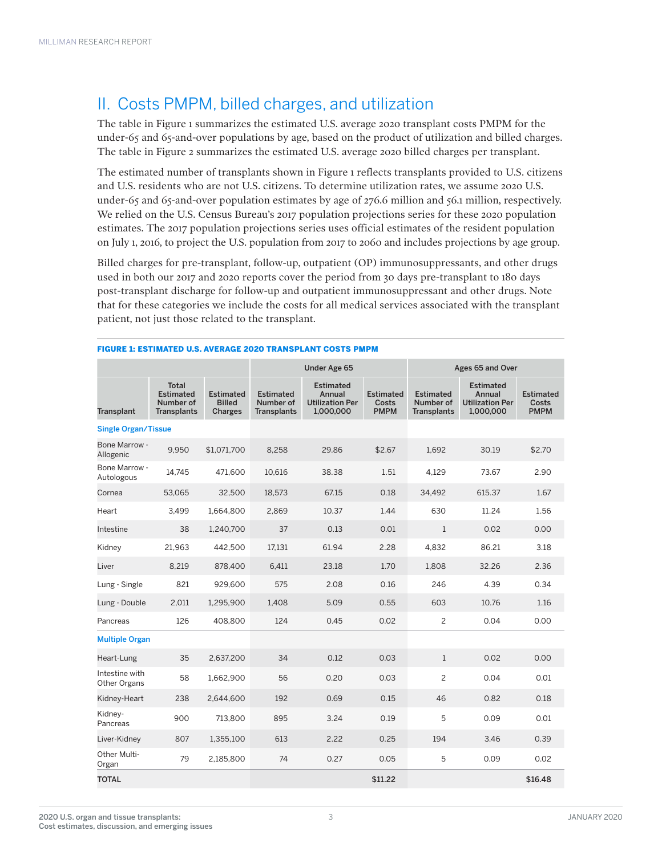# II. Costs PMPM, billed charges, and utilization

The table in Figure 1 summarizes the estimated U.S. average 2020 transplant costs PMPM for the under-65 and 65-and-over populations by age, based on the product of utilization and billed charges. The table in Figure 2 summarizes the estimated U.S. average 2020 billed charges per transplant.

The estimated number of transplants shown in Figure 1 reflects transplants provided to U.S. citizens and U.S. residents who are not U.S. citizens. To determine utilization rates, we assume 2020 U.S. under-65 and 65-and-over population estimates by age of 276.6 million and 56.1 million, respectively. We relied on the U.S. Census Bureau's 2017 population projections series for these 2020 population estimates. The 2017 population projections series uses official estimates of the resident population on July 1, 2016, to project the U.S. population from 2017 to 2060 and includes projections by age group.

Billed charges for pre-transplant, follow-up, outpatient (OP) immunosuppressants, and other drugs used in both our 2017 and 2020 reports cover the period from 30 days pre-transplant to 180 days post-transplant discharge for follow-up and outpatient immunosuppressant and other drugs. Note that for these categories we include the costs for all medical services associated with the transplant patient, not just those related to the transplant.

|                                |                                                                     |                                              |                                                     | Under Age 65                                                      |                                          | Ages 65 and Over                                    |                                                                   |                                          |  |
|--------------------------------|---------------------------------------------------------------------|----------------------------------------------|-----------------------------------------------------|-------------------------------------------------------------------|------------------------------------------|-----------------------------------------------------|-------------------------------------------------------------------|------------------------------------------|--|
| Transplant                     | <b>Total</b><br><b>Estimated</b><br>Number of<br><b>Transplants</b> | <b>Estimated</b><br><b>Billed</b><br>Charges | <b>Estimated</b><br>Number of<br><b>Transplants</b> | <b>Estimated</b><br>Annual<br><b>Utilization Per</b><br>1,000,000 | <b>Estimated</b><br>Costs<br><b>PMPM</b> | <b>Estimated</b><br>Number of<br><b>Transplants</b> | <b>Estimated</b><br>Annual<br><b>Utilization Per</b><br>1,000,000 | <b>Estimated</b><br>Costs<br><b>PMPM</b> |  |
| <b>Single Organ/Tissue</b>     |                                                                     |                                              |                                                     |                                                                   |                                          |                                                     |                                                                   |                                          |  |
| Bone Marrow -<br>Allogenic     | 9,950                                                               | \$1,071,700                                  | 8,258                                               | 29.86                                                             | \$2.67                                   | 1,692                                               | 30.19                                                             | \$2.70                                   |  |
| Bone Marrow -<br>Autologous    | 14,745                                                              | 471,600                                      | 10,616                                              | 38.38                                                             | 1.51                                     | 4,129                                               | 73.67                                                             | 2.90                                     |  |
| Cornea                         | 53,065                                                              | 32,500                                       | 18,573                                              | 67.15                                                             | 0.18                                     | 34,492                                              | 615.37                                                            | 1.67                                     |  |
| Heart                          | 3,499                                                               | 1,664,800                                    | 2,869                                               | 10.37                                                             | 1.44                                     | 630                                                 | 11.24                                                             | 1.56                                     |  |
| Intestine                      | 38                                                                  | 1,240,700                                    | 37                                                  | 0.13                                                              | 0.01                                     | $\mathbf{1}$                                        | 0.02                                                              | 0.00                                     |  |
| Kidney                         | 21.963                                                              | 442.500                                      | 17.131                                              | 61.94                                                             | 2.28                                     | 4.832                                               | 86.21                                                             | 3.18                                     |  |
| Liver                          | 8,219                                                               | 878,400                                      | 6,411                                               | 23.18                                                             | 1.70                                     | 1,808                                               | 32.26                                                             | 2.36                                     |  |
| Lung - Single                  | 821                                                                 | 929,600                                      | 575                                                 | 2.08                                                              | 0.16                                     | 246                                                 | 4.39                                                              | 0.34                                     |  |
| Lung - Double                  | 2,011                                                               | 1,295,900                                    | 1,408                                               | 5.09                                                              | 0.55                                     | 603                                                 | 10.76                                                             | 1.16                                     |  |
| Pancreas                       | 126                                                                 | 408,800                                      | 124                                                 | 0.45                                                              | 0.02                                     | $\overline{c}$                                      | 0.04                                                              | 0.00                                     |  |
| <b>Multiple Organ</b>          |                                                                     |                                              |                                                     |                                                                   |                                          |                                                     |                                                                   |                                          |  |
| Heart-Lung                     | 35                                                                  | 2,637,200                                    | 34                                                  | 0.12                                                              | 0.03                                     | $\mathbf{1}$                                        | 0.02                                                              | 0.00                                     |  |
| Intestine with<br>Other Organs | 58                                                                  | 1,662,900                                    | 56                                                  | 0.20                                                              | 0.03                                     | $\overline{c}$                                      | 0.04                                                              | 0.01                                     |  |
| Kidney-Heart                   | 238                                                                 | 2,644,600                                    | 192                                                 | 0.69                                                              | 0.15                                     | 46                                                  | 0.82                                                              | 0.18                                     |  |
| Kidney-<br>Pancreas            | 900                                                                 | 713,800                                      | 895                                                 | 3.24                                                              | 0.19                                     | 5                                                   | 0.09                                                              | 0.01                                     |  |
| Liver-Kidney                   | 807                                                                 | 1,355,100                                    | 613                                                 | 2.22                                                              | 0.25                                     | 194                                                 | 3.46                                                              | 0.39                                     |  |
| Other Multi-<br>Organ          | 79                                                                  | 2,185,800                                    | 74                                                  | 0.27                                                              | 0.05                                     | 5                                                   | 0.09                                                              | 0.02                                     |  |
| <b>TOTAL</b>                   |                                                                     |                                              |                                                     |                                                                   | \$11.22                                  |                                                     |                                                                   | \$16.48                                  |  |

#### FIGURE 1: ESTIMATED U.S. AVERAGE 2020 TRANSPLANT COSTS PMPM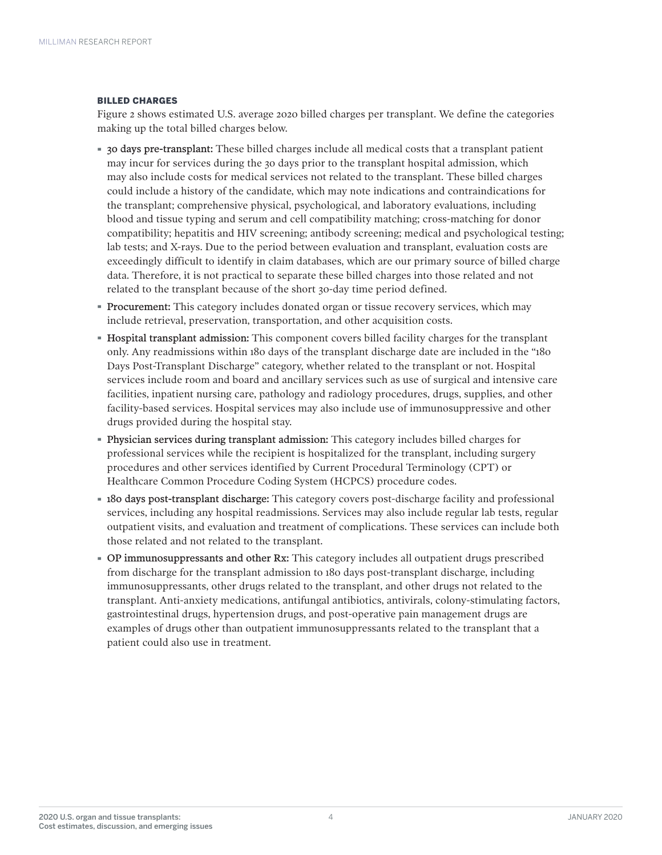### BILLED CHARGES

Figure 2 shows estimated U.S. average 2020 billed charges per transplant. We define the categories making up the total billed charges below.

- · 30 days pre-transplant: These billed charges include all medical costs that a transplant patient may incur for services during the 30 days prior to the transplant hospital admission, which may also include costs for medical services not related to the transplant. These billed charges could include a history of the candidate, which may note indications and contraindications for the transplant; comprehensive physical, psychological, and laboratory evaluations, including blood and tissue typing and serum and cell compatibility matching; cross-matching for donor compatibility; hepatitis and HIV screening; antibody screening; medical and psychological testing; lab tests; and X-rays. Due to the period between evaluation and transplant, evaluation costs are exceedingly difficult to identify in claim databases, which are our primary source of billed charge data. Therefore, it is not practical to separate these billed charges into those related and not related to the transplant because of the short 30-day time period defined.
- · Procurement: This category includes donated organ or tissue recovery services, which may include retrieval, preservation, transportation, and other acquisition costs.
- · Hospital transplant admission: This component covers billed facility charges for the transplant only. Any readmissions within 180 days of the transplant discharge date are included in the "180 Days Post-Transplant Discharge" category, whether related to the transplant or not. Hospital services include room and board and ancillary services such as use of surgical and intensive care facilities, inpatient nursing care, pathology and radiology procedures, drugs, supplies, and other facility-based services. Hospital services may also include use of immunosuppressive and other drugs provided during the hospital stay.
- · Physician services during transplant admission: This category includes billed charges for professional services while the recipient is hospitalized for the transplant, including surgery procedures and other services identified by Current Procedural Terminology (CPT) or Healthcare Common Procedure Coding System (HCPCS) procedure codes.
- · 180 days post-transplant discharge: This category covers post-discharge facility and professional services, including any hospital readmissions. Services may also include regular lab tests, regular outpatient visits, and evaluation and treatment of complications. These services can include both those related and not related to the transplant.
- · OP immunosuppressants and other Rx: This category includes all outpatient drugs prescribed from discharge for the transplant admission to 180 days post-transplant discharge, including immunosuppressants, other drugs related to the transplant, and other drugs not related to the transplant. Anti-anxiety medications, antifungal antibiotics, antivirals, colony-stimulating factors, gastrointestinal drugs, hypertension drugs, and post-operative pain management drugs are examples of drugs other than outpatient immunosuppressants related to the transplant that a patient could also use in treatment.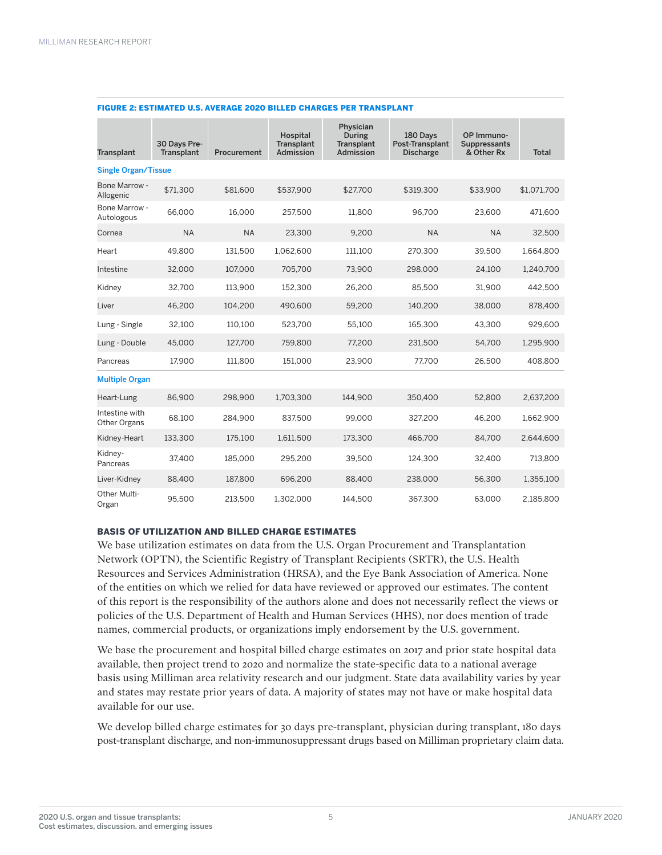| Transplant                            | 30 Days Pre-<br>Transplant | Procurement | Hospital<br>Transplant<br><b>Admission</b> | Physician<br>During<br>Transplant<br><b>Admission</b> | 180 Days<br>Post-Transplant<br><b>Discharge</b> | OP Immuno-<br>Suppressants<br>& Other Rx | <b>Total</b> |
|---------------------------------------|----------------------------|-------------|--------------------------------------------|-------------------------------------------------------|-------------------------------------------------|------------------------------------------|--------------|
| <b>Single Organ/Tissue</b>            |                            |             |                                            |                                                       |                                                 |                                          |              |
| <b>Bone Marrow -</b><br>Allogenic     | \$71,300                   | \$81,600    | \$537,900                                  | \$27,700                                              | \$319,300                                       | \$33,900                                 | \$1,071,700  |
| Bone Marrow -<br>Autologous           | 66,000                     | 16,000      | 257,500                                    | 11,800                                                | 96.700                                          | 23,600                                   | 471,600      |
| Cornea                                | <b>NA</b>                  | <b>NA</b>   | 23,300                                     | 9.200                                                 | <b>NA</b>                                       | <b>NA</b>                                | 32,500       |
| Heart                                 | 49,800                     | 131,500     | 1,062,600                                  | 111,100                                               | 270,300                                         | 39,500                                   | 1,664,800    |
| Intestine                             | 32,000                     | 107,000     | 705,700                                    | 73,900                                                | 298,000                                         | 24,100                                   | 1,240,700    |
| Kidney                                | 32.700                     | 113.900     | 152.300                                    | 26.200                                                | 85.500                                          | 31.900                                   | 442.500      |
| Liver                                 | 46,200                     | 104.200     | 490.600                                    | 59.200                                                | 140.200                                         | 38,000                                   | 878,400      |
| Lung - Single                         | 32,100                     | 110,100     | 523,700                                    | 55,100                                                | 165,300                                         | 43,300                                   | 929,600      |
| Lung - Double                         | 45.000                     | 127.700     | 759.800                                    | 77.200                                                | 231,500                                         | 54,700                                   | 1,295,900    |
| Pancreas                              | 17.900                     | 111.800     | 151.000                                    | 23.900                                                | 77.700                                          | 26.500                                   | 408.800      |
| <b>Multiple Organ</b>                 |                            |             |                                            |                                                       |                                                 |                                          |              |
| Heart-Lung                            | 86,900                     | 298,900     | 1,703,300                                  | 144,900                                               | 350,400                                         | 52,800                                   | 2,637,200    |
| Intestine with<br><b>Other Organs</b> | 68.100                     | 284,900     | 837.500                                    | 99.000                                                | 327.200                                         | 46,200                                   | 1,662,900    |
| Kidney-Heart                          | 133.300                    | 175,100     | 1,611,500                                  | 173.300                                               | 466.700                                         | 84.700                                   | 2.644.600    |
| Kidney-<br>Pancreas                   | 37,400                     | 185,000     | 295,200                                    | 39,500                                                | 124,300                                         | 32,400                                   | 713,800      |
| Liver-Kidney                          | 88,400                     | 187,800     | 696,200                                    | 88,400                                                | 238,000                                         | 56,300                                   | 1,355,100    |
| Other Multi-<br>Organ                 | 95,500                     | 213,500     | 1,302,000                                  | 144,500                                               | 367.300                                         | 63,000                                   | 2,185,800    |

#### FIGURE 2: ESTIMATED U.S. AVERAGE 2020 BILLED CHARGES PER TRANSPLANT

# BASIS OF UTILIZATION AND BILLED CHARGE ESTIMATES

We base utilization estimates on data from the U.S. Organ Procurement and Transplantation Network (OPTN), the Scientific Registry of Transplant Recipients (SRTR), the U.S. Health Resources and Services Administration (HRSA), and the Eye Bank Association of America. None of the entities on which we relied for data have reviewed or approved our estimates. The content of this report is the responsibility of the authors alone and does not necessarily reflect the views or policies of the U.S. Department of Health and Human Services (HHS), nor does mention of trade names, commercial products, or organizations imply endorsement by the U.S. government.

We base the procurement and hospital billed charge estimates on 2017 and prior state hospital data available, then project trend to 2020 and normalize the state-specific data to a national average basis using Milliman area relativity research and our judgment. State data availability varies by year and states may restate prior years of data. A majority of states may not have or make hospital data available for our use.

We develop billed charge estimates for 30 days pre-transplant, physician during transplant, 180 days post-transplant discharge, and non-immunosuppressant drugs based on Milliman proprietary claim data.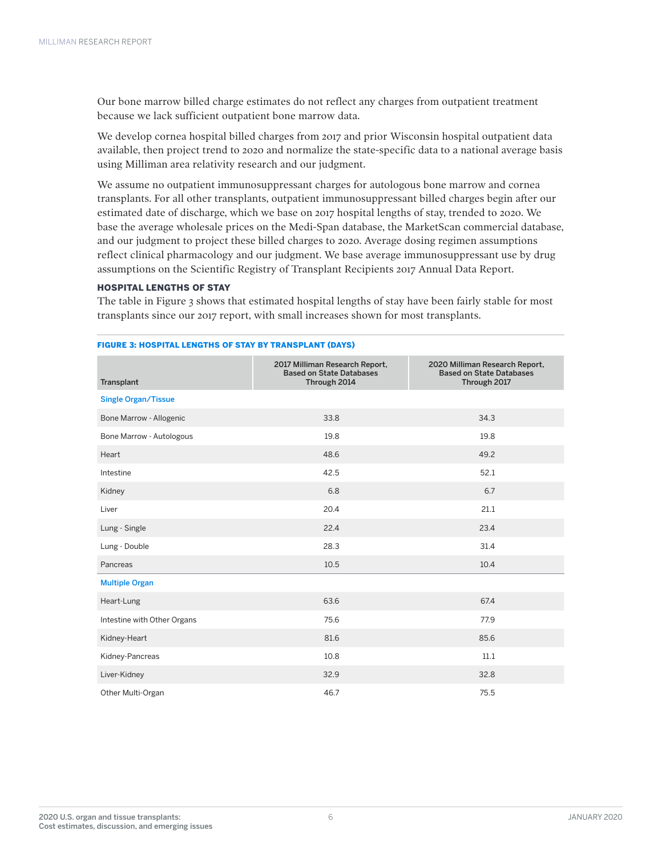Our bone marrow billed charge estimates do not reflect any charges from outpatient treatment because we lack sufficient outpatient bone marrow data.

We develop cornea hospital billed charges from 2017 and prior Wisconsin hospital outpatient data available, then project trend to 2020 and normalize the state-specific data to a national average basis using Milliman area relativity research and our judgment.

We assume no outpatient immunosuppressant charges for autologous bone marrow and cornea transplants. For all other transplants, outpatient immunosuppressant billed charges begin after our estimated date of discharge, which we base on 2017 hospital lengths of stay, trended to 2020. We base the average wholesale prices on the Medi-Span database, the MarketScan commercial database, and our judgment to project these billed charges to 2020. Average dosing regimen assumptions reflect clinical pharmacology and our judgment. We base average immunosuppressant use by drug assumptions on the Scientific Registry of Transplant Recipients 2017 Annual Data Report.

## HOSPITAL LENGTHS OF STAY

The table in Figure 3 shows that estimated hospital lengths of stay have been fairly stable for most transplants since our 2017 report, with small increases shown for most transplants.

| Transplant                  | 2017 Milliman Research Report,<br><b>Based on State Databases</b><br>Through 2014 | 2020 Milliman Research Report,<br><b>Based on State Databases</b><br>Through 2017 |
|-----------------------------|-----------------------------------------------------------------------------------|-----------------------------------------------------------------------------------|
| <b>Single Organ/Tissue</b>  |                                                                                   |                                                                                   |
| Bone Marrow - Allogenic     | 33.8                                                                              | 34.3                                                                              |
| Bone Marrow - Autologous    | 19.8                                                                              | 19.8                                                                              |
| Heart                       | 48.6                                                                              | 49.2                                                                              |
| Intestine                   | 42.5                                                                              | 52.1                                                                              |
| Kidney                      | 6.8                                                                               | 6.7                                                                               |
| Liver                       | 20.4                                                                              | 21.1                                                                              |
| Lung - Single               | 22.4                                                                              | 23.4                                                                              |
| Lung - Double               | 28.3                                                                              | 31.4                                                                              |
| Pancreas                    | 10.5                                                                              | 10.4                                                                              |
| <b>Multiple Organ</b>       |                                                                                   |                                                                                   |
| Heart-Lung                  | 63.6                                                                              | 67.4                                                                              |
| Intestine with Other Organs | 75.6                                                                              | 77.9                                                                              |
| Kidney-Heart                | 81.6                                                                              | 85.6                                                                              |
| Kidney-Pancreas             | 10.8                                                                              | 11.1                                                                              |
| Liver-Kidney                | 32.9                                                                              | 32.8                                                                              |
| Other Multi-Organ           | 46.7                                                                              | 75.5                                                                              |

#### FIGURE 3: HOSPITAL LENGTHS OF STAY BY TRANSPLANT (DAYS)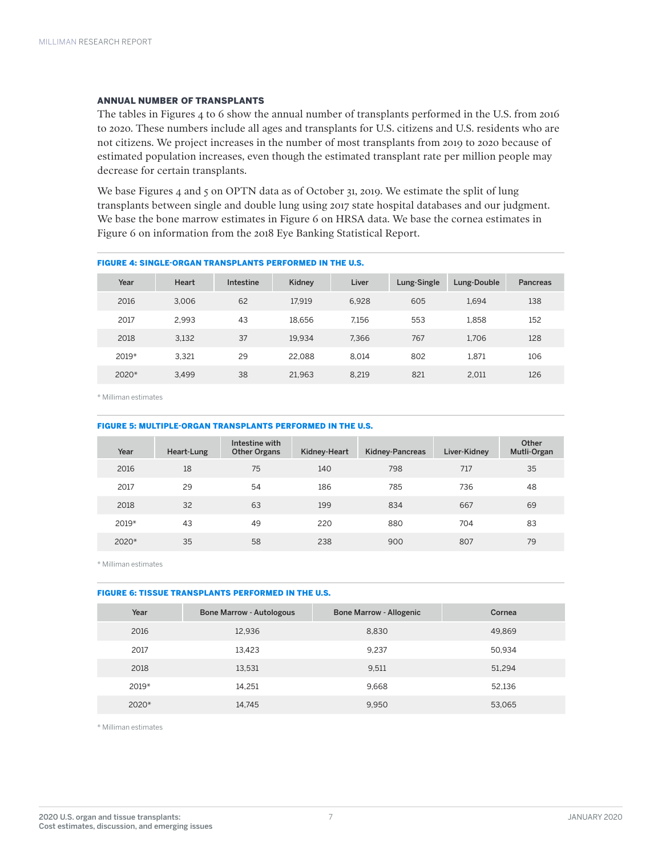### ANNUAL NUMBER OF TRANSPLANTS

The tables in Figures 4 to 6 show the annual number of transplants performed in the U.S. from 2016 to 2020. These numbers include all ages and transplants for U.S. citizens and U.S. residents who are not citizens. We project increases in the number of most transplants from 2019 to 2020 because of estimated population increases, even though the estimated transplant rate per million people may decrease for certain transplants.

We base Figures  $\mu$  and  $\varsigma$  on OPTN data as of October 31, 2019. We estimate the split of lung transplants between single and double lung using 2017 state hospital databases and our judgment. We base the bone marrow estimates in Figure 6 on HRSA data. We base the cornea estimates in Figure 6 on information from the 2018 Eye Banking Statistical Report.

| Year    | Heart | Intestine | Kidney | Liver | Lung-Single | Lung-Double | Pancreas |
|---------|-------|-----------|--------|-------|-------------|-------------|----------|
| 2016    | 3.006 | 62        | 17.919 | 6.928 | 605         | 1.694       | 138      |
| 2017    | 2.993 | 43        | 18.656 | 7.156 | 553         | 1,858       | 152      |
| 2018    | 3,132 | 37        | 19.934 | 7.366 | 767         | 1.706       | 128      |
| $2019*$ | 3.321 | 29        | 22.088 | 8.014 | 802         | 1.871       | 106      |
| 2020*   | 3.499 | 38        | 21.963 | 8.219 | 821         | 2.011       | 126      |

FIGURE 4: SINGLE-ORGAN TRANSPLANTS PERFORMED IN THE U.S.

\* Milliman estimates

#### FIGURE 5: MULTIPLE-ORGAN TRANSPLANTS PERFORMED IN THE U.S.

| Year    | Heart-Lung | Intestine with<br><b>Other Organs</b> | Kidney-Heart | Kidney-Pancreas | Liver-Kidney | Other<br>Mutli-Organ |
|---------|------------|---------------------------------------|--------------|-----------------|--------------|----------------------|
| 2016    | 18         | 75                                    | 140          | 798             | 717          | 35                   |
| 2017    | 29         | 54                                    | 186          | 785             | 736          | 48                   |
| 2018    | 32         | 63                                    | 199          | 834             | 667          | 69                   |
| $2019*$ | 43         | 49                                    | 220          | 880             | 704          | 83                   |
| 2020*   | 35         | 58                                    | 238          | 900             | 807          | 79                   |

\* Milliman estimates

#### FIGURE 6: TISSUE TRANSPLANTS PERFORMED IN THE U.S.

| Year    | <b>Bone Marrow - Autologous</b> | <b>Bone Marrow - Allogenic</b> | Cornea |
|---------|---------------------------------|--------------------------------|--------|
| 2016    | 12,936                          | 8,830                          | 49,869 |
| 2017    | 13.423                          | 9,237                          | 50,934 |
| 2018    | 13,531                          | 9,511                          | 51.294 |
| $2019*$ | 14.251                          | 9.668                          | 52.136 |
| 2020*   | 14,745                          | 9,950                          | 53,065 |

\* Milliman estimates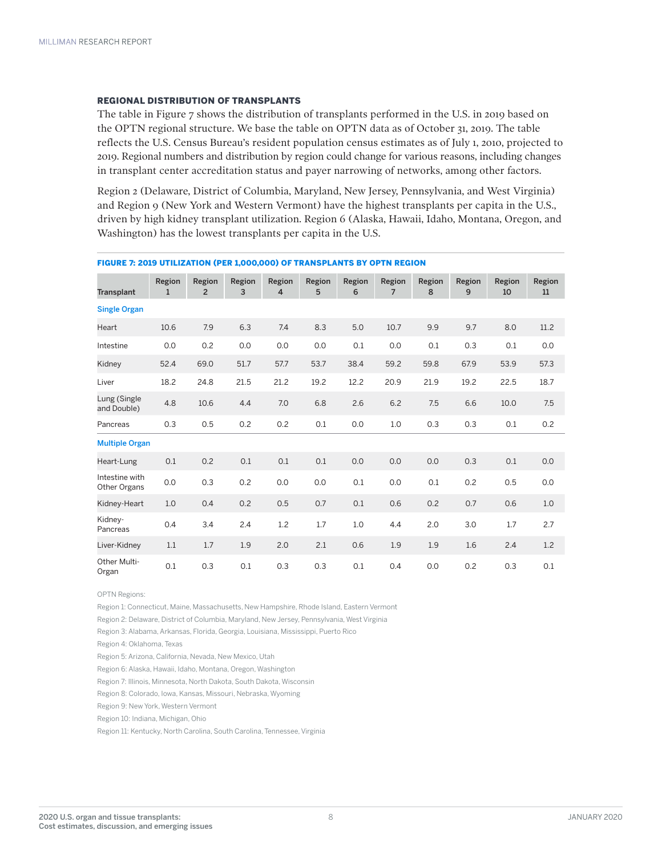#### REGIONAL DISTRIBUTION OF TRANSPLANTS

The table in Figure 7 shows the distribution of transplants performed in the U.S. in 2019 based on the OPTN regional structure. We base the table on OPTN data as of October 31, 2019. The table reflects the U.S. Census Bureau's resident population census estimates as of July 1, 2010, projected to 2019. Regional numbers and distribution by region could change for various reasons, including changes in transplant center accreditation status and payer narrowing of networks, among other factors.

Region 2 (Delaware, District of Columbia, Maryland, New Jersey, Pennsylvania, and West Virginia) and Region 9 (New York and Western Vermont) have the highest transplants per capita in the U.S., driven by high kidney transplant utilization. Region 6 (Alaska, Hawaii, Idaho, Montana, Oregon, and Washington) has the lowest transplants per capita in the U.S.

| Transplant                     | Region<br>$\mathbf{1}$ | Region<br>$\overline{2}$ | Region<br>3 | Region<br>4 | Region<br>5 | Region<br>6 | Region<br>7 | Region<br>8 | Region<br>9 | Region<br>10 | Region<br>11 |
|--------------------------------|------------------------|--------------------------|-------------|-------------|-------------|-------------|-------------|-------------|-------------|--------------|--------------|
| <b>Single Organ</b>            |                        |                          |             |             |             |             |             |             |             |              |              |
| Heart                          | 10.6                   | 7.9                      | 6.3         | 7.4         | 8.3         | 5.0         | 10.7        | 9.9         | 9.7         | 8.0          | 11.2         |
| Intestine                      | 0.0                    | 0.2                      | 0.0         | 0.0         | 0.0         | 0.1         | 0.0         | 0.1         | 0.3         | 0.1          | 0.0          |
| Kidney                         | 52.4                   | 69.0                     | 51.7        | 57.7        | 53.7        | 38.4        | 59.2        | 59.8        | 67.9        | 53.9         | 57.3         |
| Liver                          | 18.2                   | 24.8                     | 21.5        | 21.2        | 19.2        | 12.2        | 20.9        | 21.9        | 19.2        | 22.5         | 18.7         |
| Lung (Single<br>and Double)    | 4.8                    | 10.6                     | 4.4         | 7.0         | 6.8         | 2.6         | 6.2         | 7.5         | 6.6         | 10.0         | 7.5          |
| Pancreas                       | 0.3                    | 0.5                      | 0.2         | 0.2         | 0.1         | 0.0         | 1.0         | 0.3         | 0.3         | 0.1          | 0.2          |
| <b>Multiple Organ</b>          |                        |                          |             |             |             |             |             |             |             |              |              |
| Heart-Lung                     | 0.1                    | 0.2                      | 0.1         | 0.1         | 0.1         | 0.0         | 0.0         | 0.0         | 0.3         | 0.1          | 0.0          |
| Intestine with<br>Other Organs | 0.0                    | 0.3                      | 0.2         | 0.0         | 0.0         | 0.1         | 0.0         | 0.1         | 0.2         | 0.5          | 0.0          |
| Kidney-Heart                   | 1.0                    | 0.4                      | 0.2         | 0.5         | 0.7         | 0.1         | 0.6         | 0.2         | 0.7         | 0.6          | 1.0          |
| Kidney-<br>Pancreas            | 0.4                    | 3.4                      | 2.4         | 1.2         | 1.7         | 1.0         | 4.4         | 2.0         | 3.0         | 1.7          | 2.7          |
| Liver-Kidney                   | 1.1                    | 1.7                      | 1.9         | 2.0         | 2.1         | 0.6         | 1.9         | 1.9         | 1.6         | 2.4          | 1.2          |
| Other Multi-<br>Organ          | 0.1                    | 0.3                      | 0.1         | 0.3         | 0.3         | 0.1         | 0.4         | 0.0         | 0.2         | 0.3          | 0.1          |

#### FIGURE 7: 2019 UTILIZATION (PER 1,000,000) OF TRANSPLANTS BY OPTN REGION

OPTN Regions:

Region 1: Connecticut, Maine, Massachusetts, New Hampshire, Rhode Island, Eastern Vermont

Region 2: Delaware, District of Columbia, Maryland, New Jersey, Pennsylvania, West Virginia

Region 3: Alabama, Arkansas, Florida, Georgia, Louisiana, Mississippi, Puerto Rico

Region 4: Oklahoma, Texas

Region 5: Arizona, California, Nevada, New Mexico, Utah

Region 6: Alaska, Hawaii, Idaho, Montana, Oregon, Washington

Region 7: Illinois, Minnesota, North Dakota, South Dakota, Wisconsin

Region 8: Colorado, Iowa, Kansas, Missouri, Nebraska, Wyoming

Region 9: New York, Western Vermont

Region 10: Indiana, Michigan, Ohio

Region 11: Kentucky, North Carolina, South Carolina, Tennessee, Virginia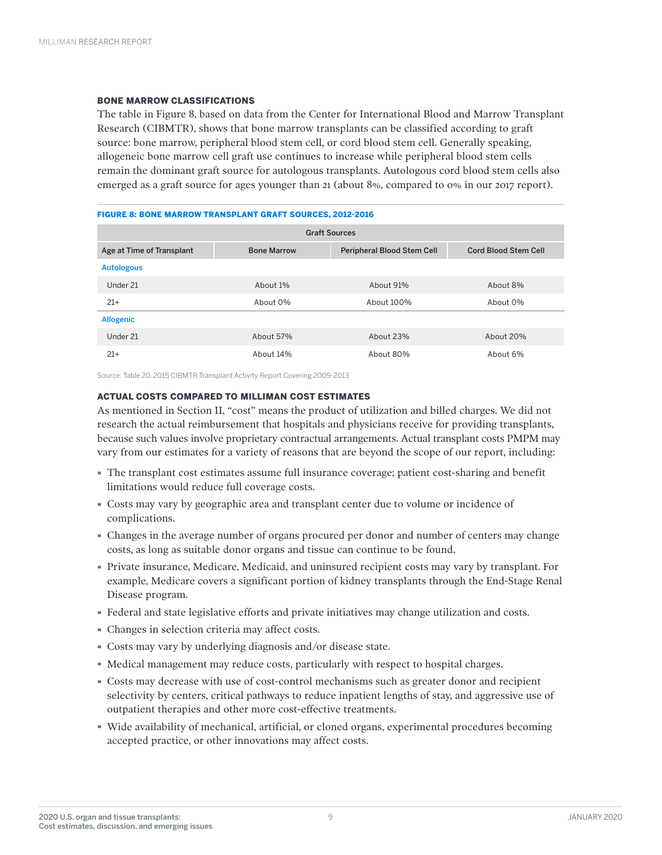### BONE MARROW CLASSIFICATIONS

The table in Figure 8, based on data from the Center for International Blood and Marrow Transplant Research (CIBMTR), shows that bone marrow transplants can be classified according to graft source: bone marrow, peripheral blood stem cell, or cord blood stem cell. Generally speaking, allogeneic bone marrow cell graft use continues to increase while peripheral blood stem cells remain the dominant graft source for autologous transplants. Autologous cord blood stem cells also emerged as a graft source for ages younger than 21 (about 8%, compared to 0% in our 2017 report).

## FIGURE 8: BONE MARROW TRANSPLANT GRAFT SOURCES, 2012-2016

| <b>Graft Sources</b>      |                    |                                   |                             |  |  |  |  |  |
|---------------------------|--------------------|-----------------------------------|-----------------------------|--|--|--|--|--|
| Age at Time of Transplant | <b>Bone Marrow</b> | <b>Peripheral Blood Stem Cell</b> | <b>Cord Blood Stem Cell</b> |  |  |  |  |  |
| <b>Autologous</b>         |                    |                                   |                             |  |  |  |  |  |
| Under 21                  | About 1%           | About 91%                         | About 8%                    |  |  |  |  |  |
| $21+$                     | About 0%           | About 100%                        | About 0%                    |  |  |  |  |  |
| <b>Allogenic</b>          |                    |                                   |                             |  |  |  |  |  |
| Under 21                  | About 57%          | About 23%                         | About 20%                   |  |  |  |  |  |
| $21+$                     | About 14%          | About 80%                         | About 6%                    |  |  |  |  |  |

Source: Table 20. 2015 CIBMTR Transplant Activity Report Covering 2009-2013

### ACTUAL COSTS COMPARED TO MILLIMAN COST ESTIMATES

As mentioned in Section II, "cost" means the product of utilization and billed charges. We did not research the actual reimbursement that hospitals and physicians receive for providing transplants, because such values involve proprietary contractual arrangements. Actual transplant costs PMPM may vary from our estimates for a variety of reasons that are beyond the scope of our report, including:

- · The transplant cost estimates assume full insurance coverage; patient cost-sharing and benefit limitations would reduce full coverage costs.
- · Costs may vary by geographic area and transplant center due to volume or incidence of complications.
- · Changes in the average number of organs procured per donor and number of centers may change costs, as long as suitable donor organs and tissue can continue to be found.
- · Private insurance, Medicare, Medicaid, and uninsured recipient costs may vary by transplant. For example, Medicare covers a significant portion of kidney transplants through the End-Stage Renal Disease program.
- · Federal and state legislative efforts and private initiatives may change utilization and costs.
- · Changes in selection criteria may affect costs.
- · Costs may vary by underlying diagnosis and/or disease state.
- · Medical management may reduce costs, particularly with respect to hospital charges.
- · Costs may decrease with use of cost-control mechanisms such as greater donor and recipient selectivity by centers, critical pathways to reduce inpatient lengths of stay, and aggressive use of outpatient therapies and other more cost-effective treatments.
- · Wide availability of mechanical, artificial, or cloned organs, experimental procedures becoming accepted practice, or other innovations may affect costs.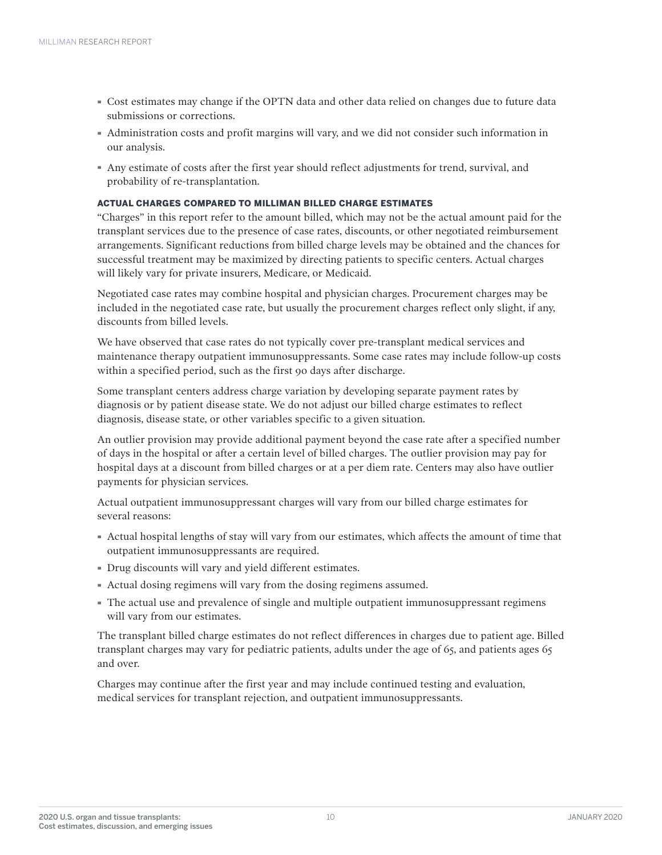- · Cost estimates may change if the OPTN data and other data relied on changes due to future data submissions or corrections.
- · Administration costs and profit margins will vary, and we did not consider such information in our analysis.
- · Any estimate of costs after the first year should reflect adjustments for trend, survival, and probability of re-transplantation.

# ACTUAL CHARGES COMPARED TO MILLIMAN BILLED CHARGE ESTIMATES

"Charges" in this report refer to the amount billed, which may not be the actual amount paid for the transplant services due to the presence of case rates, discounts, or other negotiated reimbursement arrangements. Significant reductions from billed charge levels may be obtained and the chances for successful treatment may be maximized by directing patients to specific centers. Actual charges will likely vary for private insurers, Medicare, or Medicaid.

Negotiated case rates may combine hospital and physician charges. Procurement charges may be included in the negotiated case rate, but usually the procurement charges reflect only slight, if any, discounts from billed levels.

We have observed that case rates do not typically cover pre-transplant medical services and maintenance therapy outpatient immunosuppressants. Some case rates may include follow-up costs within a specified period, such as the first 90 days after discharge.

Some transplant centers address charge variation by developing separate payment rates by diagnosis or by patient disease state. We do not adjust our billed charge estimates to reflect diagnosis, disease state, or other variables specific to a given situation.

An outlier provision may provide additional payment beyond the case rate after a specified number of days in the hospital or after a certain level of billed charges. The outlier provision may pay for hospital days at a discount from billed charges or at a per diem rate. Centers may also have outlier payments for physician services.

Actual outpatient immunosuppressant charges will vary from our billed charge estimates for several reasons:

- · Actual hospital lengths of stay will vary from our estimates, which affects the amount of time that outpatient immunosuppressants are required.
- · Drug discounts will vary and yield different estimates.
- · Actual dosing regimens will vary from the dosing regimens assumed.
- · The actual use and prevalence of single and multiple outpatient immunosuppressant regimens will vary from our estimates.

The transplant billed charge estimates do not reflect differences in charges due to patient age. Billed transplant charges may vary for pediatric patients, adults under the age of 65, and patients ages 65 and over.

Charges may continue after the first year and may include continued testing and evaluation, medical services for transplant rejection, and outpatient immunosuppressants.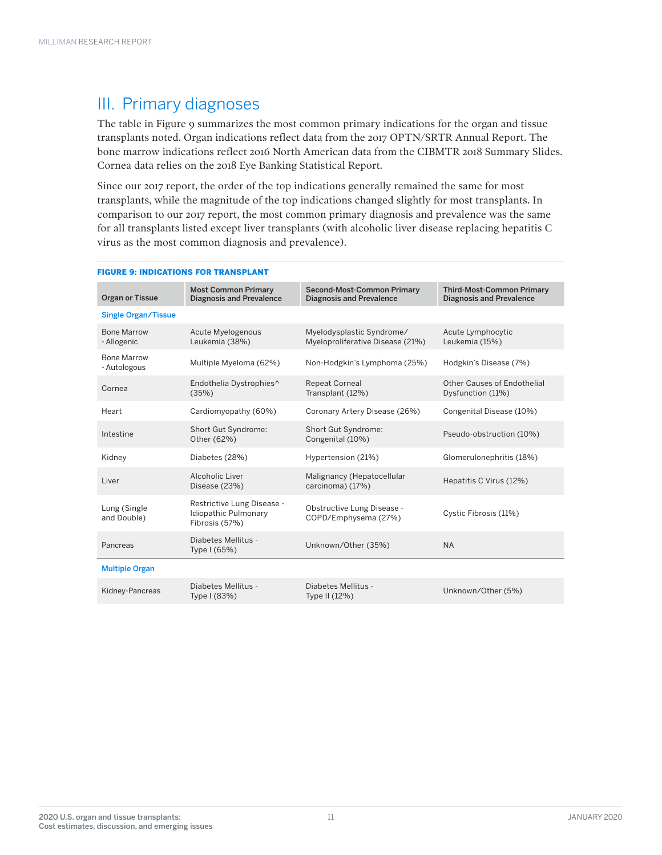# III. Primary diagnoses

The table in Figure 9 summarizes the most common primary indications for the organ and tissue transplants noted. Organ indications reflect data from the 2017 OPTN/SRTR Annual Report. The bone marrow indications reflect 2016 North American data from the CIBMTR 2018 Summary Slides. Cornea data relies on the 2018 Eye Banking Statistical Report.

Since our 2017 report, the order of the top indications generally remained the same for most transplants, while the magnitude of the top indications changed slightly for most transplants. In comparison to our 2017 report, the most common primary diagnosis and prevalence was the same for all transplants listed except liver transplants (with alcoholic liver disease replacing hepatitis C virus as the most common diagnosis and prevalence).

| <b>Organ or Tissue</b>             | <b>Most Common Primary</b><br><b>Diagnosis and Prevalence</b>        | Second-Most-Common Primary<br><b>Diagnosis and Prevalence</b> | <b>Third-Most-Common Primary</b><br><b>Diagnosis and Prevalence</b> |
|------------------------------------|----------------------------------------------------------------------|---------------------------------------------------------------|---------------------------------------------------------------------|
| <b>Single Organ/Tissue</b>         |                                                                      |                                                               |                                                                     |
| <b>Bone Marrow</b><br>- Allogenic  | Acute Myelogenous<br>Leukemia (38%)                                  | Myelodysplastic Syndrome/<br>Myeloproliferative Disease (21%) | Acute Lymphocytic<br>Leukemia (15%)                                 |
| <b>Bone Marrow</b><br>- Autologous | Multiple Myeloma (62%)                                               | Non-Hodgkin's Lymphoma (25%)                                  | Hodgkin's Disease (7%)                                              |
| Cornea                             | Endothelia Dystrophies^<br>(35%)                                     | <b>Repeat Corneal</b><br>Transplant (12%)                     | Other Causes of Endothelial<br>Dysfunction (11%)                    |
| Heart                              | Cardiomyopathy (60%)                                                 | Coronary Artery Disease (26%)                                 | Congenital Disease (10%)                                            |
| Intestine                          | <b>Short Gut Syndrome:</b><br>Other (62%)                            | Short Gut Syndrome:<br>Congenital (10%)                       | Pseudo-obstruction (10%)                                            |
| Kidney                             | Diabetes (28%)                                                       | Hypertension (21%)                                            | Glomerulonephritis (18%)                                            |
| Liver                              | Alcoholic Liver<br>Disease (23%)                                     | Malignancy (Hepatocellular<br>carcinoma) (17%)                | Hepatitis C Virus (12%)                                             |
| Lung (Single<br>and Double)        | Restrictive Lung Disease -<br>Idiopathic Pulmonary<br>Fibrosis (57%) | Obstructive Lung Disease -<br>COPD/Emphysema (27%)            | Cystic Fibrosis (11%)                                               |
| Pancreas                           | Diabetes Mellitus -<br>Type I (65%)                                  | Unknown/Other (35%)                                           | <b>NA</b>                                                           |
| <b>Multiple Organ</b>              |                                                                      |                                                               |                                                                     |
| Kidney-Pancreas                    | Diabetes Mellitus -<br>Type I (83%)                                  | Diabetes Mellitus -<br>Type II (12%)                          | Unknown/Other (5%)                                                  |

#### FIGURE 9: INDICATIONS FOR TRANSPLANT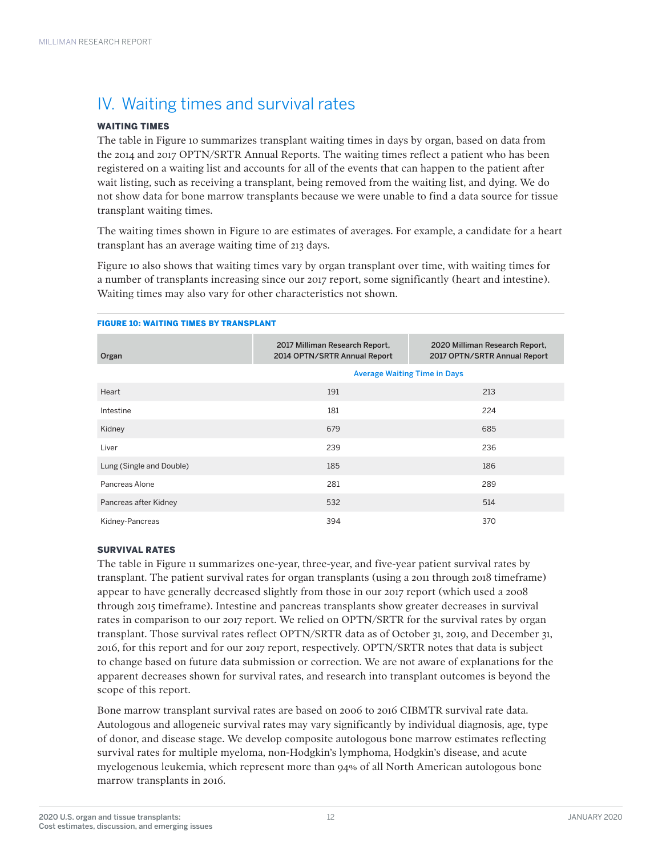# IV. Waiting times and survival rates

# WAITING TIMES

The table in Figure 10 summarizes transplant waiting times in days by organ, based on data from the 2014 and 2017 OPTN/SRTR Annual Reports. The waiting times reflect a patient who has been registered on a waiting list and accounts for all of the events that can happen to the patient after wait listing, such as receiving a transplant, being removed from the waiting list, and dying. We do not show data for bone marrow transplants because we were unable to find a data source for tissue transplant waiting times.

The waiting times shown in Figure 10 are estimates of averages. For example, a candidate for a heart transplant has an average waiting time of 213 days.

Figure 10 also shows that waiting times vary by organ transplant over time, with waiting times for a number of transplants increasing since our 2017 report, some significantly (heart and intestine). Waiting times may also vary for other characteristics not shown.

#### FIGURE 10: WAITING TIMES BY TRANSPLANT

| Organ                    | 2017 Milliman Research Report,<br>2014 OPTN/SRTR Annual Report | 2020 Milliman Research Report,<br>2017 OPTN/SRTR Annual Report |
|--------------------------|----------------------------------------------------------------|----------------------------------------------------------------|
|                          | <b>Average Waiting Time in Days</b>                            |                                                                |
| Heart                    | 191                                                            | 213                                                            |
| Intestine                | 181                                                            | 224                                                            |
| Kidney                   | 679                                                            | 685                                                            |
| Liver                    | 239                                                            | 236                                                            |
| Lung (Single and Double) | 185                                                            | 186                                                            |
| Pancreas Alone           | 281                                                            | 289                                                            |
| Pancreas after Kidney    | 532                                                            | 514                                                            |
| Kidney-Pancreas          | 394                                                            | 370                                                            |

### SURVIVAL RATES

The table in Figure 11 summarizes one-year, three-year, and five-year patient survival rates by transplant. The patient survival rates for organ transplants (using a 2011 through 2018 timeframe) appear to have generally decreased slightly from those in our 2017 report (which used a 2008 through 2015 timeframe). Intestine and pancreas transplants show greater decreases in survival rates in comparison to our 2017 report. We relied on OPTN/SRTR for the survival rates by organ transplant. Those survival rates reflect OPTN/SRTR data as of October 31, 2019, and December 31, 2016, for this report and for our 2017 report, respectively. OPTN/SRTR notes that data is subject to change based on future data submission or correction. We are not aware of explanations for the apparent decreases shown for survival rates, and research into transplant outcomes is beyond the scope of this report.

Bone marrow transplant survival rates are based on 2006 to 2016 CIBMTR survival rate data. Autologous and allogeneic survival rates may vary significantly by individual diagnosis, age, type of donor, and disease stage. We develop composite autologous bone marrow estimates reflecting survival rates for multiple myeloma, non-Hodgkin's lymphoma, Hodgkin's disease, and acute myelogenous leukemia, which represent more than 94% of all North American autologous bone marrow transplants in 2016.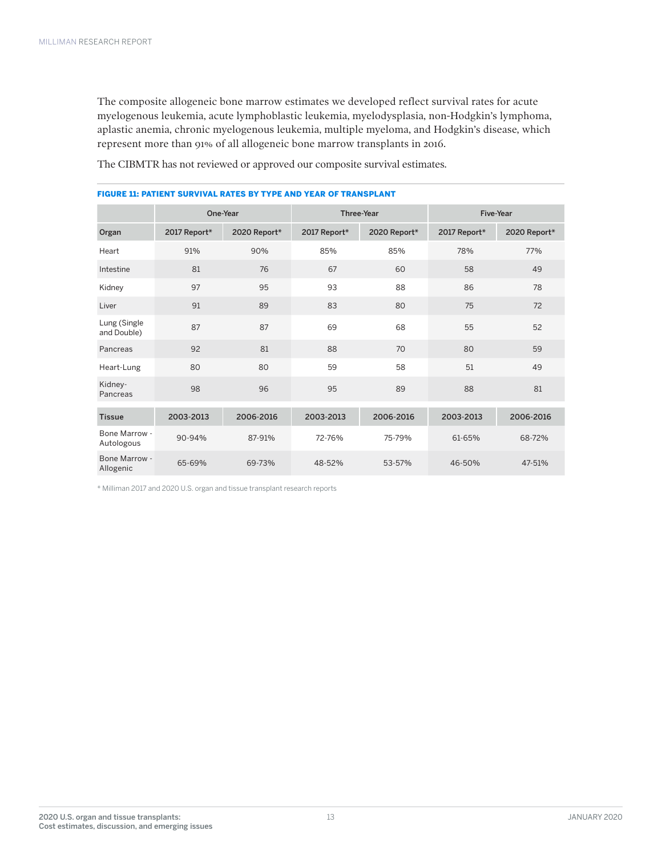The composite allogeneic bone marrow estimates we developed reflect survival rates for acute myelogenous leukemia, acute lymphoblastic leukemia, myelodysplasia, non-Hodgkin's lymphoma, aplastic anemia, chronic myelogenous leukemia, multiple myeloma, and Hodgkin's disease, which represent more than 91% of all allogeneic bone marrow transplants in 2016.

The CIBMTR has not reviewed or approved our composite survival estimates.

|                             | One-Year     |              | Three-Year   |              | Five-Year    |              |  |
|-----------------------------|--------------|--------------|--------------|--------------|--------------|--------------|--|
| Organ                       | 2017 Report* | 2020 Report* | 2017 Report* | 2020 Report* | 2017 Report* | 2020 Report* |  |
| Heart                       | 91%          | 90%          | 85%          | 85%          | 78%          | 77%          |  |
| Intestine                   | 81           | 76           | 67           | 60           | 58           | 49           |  |
| Kidney                      | 97           | 95           | 93           | 88           | 86           | 78           |  |
| Liver                       | 91           | 89           | 83           | 80           | 75           | 72           |  |
| Lung (Single<br>and Double) | 87           | 87           | 69           | 68           | 55           | 52           |  |
| Pancreas                    | 92           | 81           | 88           | 70           | 80           | 59           |  |
| Heart-Lung                  | 80           | 80           | 59           | 58           | 51           | 49           |  |
| Kidney-<br>Pancreas         | 98           | 96           | 95           | 89           | 88           | 81           |  |
| <b>Tissue</b>               | 2003-2013    | 2006-2016    | 2003-2013    | 2006-2016    | 2003-2013    | 2006-2016    |  |
| Bone Marrow -<br>Autologous | 90-94%       | 87-91%       | 72-76%       | 75-79%       | 61-65%       | 68-72%       |  |
| Bone Marrow -<br>Allogenic  | 65-69%       | 69-73%       | 48-52%       | 53-57%       | 46-50%       | 47-51%       |  |

## FIGURE 11: PATIENT SURVIVAL RATES BY TYPE AND YEAR OF TRANSPLANT

\* Milliman 2017 and 2020 U.S. organ and tissue transplant research reports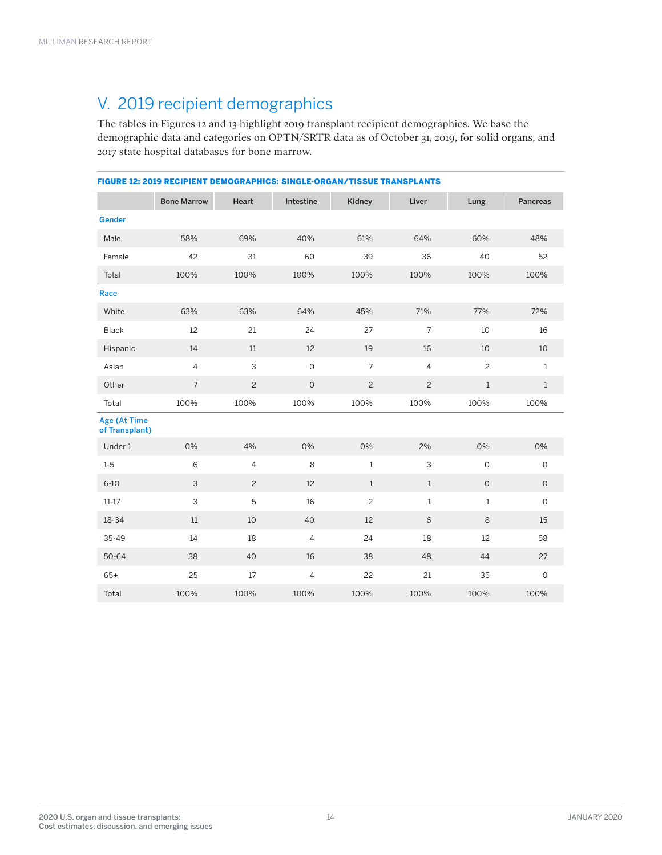# V. 2019 recipient demographics

The tables in Figures 12 and 13 highlight 2019 transplant recipient demographics. We base the demographic data and categories on OPTN/SRTR data as of October 31, 2019, for solid organs, and 2017 state hospital databases for bone marrow.

| <b>FIGURE 12: 2019 RECIPIENT DEMOGRAPHICS: SINGLE-ORGAN/TISSUE TRANSPLANTS</b> |                    |                |                |                |                |                |                 |
|--------------------------------------------------------------------------------|--------------------|----------------|----------------|----------------|----------------|----------------|-----------------|
|                                                                                | <b>Bone Marrow</b> | Heart          | Intestine      | Kidney         | Liver          | Lung           | <b>Pancreas</b> |
| <b>Gender</b>                                                                  |                    |                |                |                |                |                |                 |
| Male                                                                           | 58%                | 69%            | 40%            | 61%            | 64%            | 60%            | 48%             |
| Female                                                                         | 42                 | 31             | 60             | 39             | 36             | 40             | 52              |
| Total                                                                          | 100%               | 100%           | 100%           | 100%           | 100%           | 100%           | 100%            |
| Race                                                                           |                    |                |                |                |                |                |                 |
| White                                                                          | 63%                | 63%            | 64%            | 45%            | 71%            | 77%            | 72%             |
| Black                                                                          | 12                 | 21             | 24             | 27             | $\overline{7}$ | 10             | 16              |
| Hispanic                                                                       | 14                 | 11             | 12             | 19             | 16             | 10             | 10              |
| Asian                                                                          | $\overline{4}$     | 3              | $\circ$        | $\overline{7}$ | $\overline{4}$ | $\overline{c}$ | $1\,$           |
| Other                                                                          | $\overline{7}$     | $\overline{c}$ | $\mathbf 0$    | $\overline{c}$ | $\overline{c}$ | $\mathbf{1}$   | $1\,$           |
| Total                                                                          | 100%               | 100%           | 100%           | 100%           | 100%           | 100%           | 100%            |
| Age (At Time<br>of Transplant)                                                 |                    |                |                |                |                |                |                 |
| Under 1                                                                        | 0%                 | 4%             | 0%             | 0%             | 2%             | 0%             | 0%              |
| $1 - 5$                                                                        | 6                  | $\overline{4}$ | 8              | $1\,$          | 3              | $\overline{O}$ | $\circ$         |
| $6 - 10$                                                                       | 3                  | 2              | 12             | $\mathbf{1}$   | $\mathbf{1}$   | $\mathsf O$    | $\circ$         |
| $11 - 17$                                                                      | 3                  | 5              | 16             | $\overline{c}$ | $\mathbf{1}$   | $\mathbf{1}$   | $\circ$         |
| 18-34                                                                          | 11                 | 10             | 40             | 12             | 6              | 8              | 15              |
| 35-49                                                                          | 14                 | 18             | $\overline{4}$ | 24             | 18             | 12             | 58              |
| $50 - 64$                                                                      | 38                 | 40             | 16             | 38             | 48             | 44             | 27              |
| $65+$                                                                          | 25                 | 17             | 4              | 22             | 21             | 35             | $\mathsf O$     |
| Total                                                                          | 100%               | 100%           | 100%           | 100%           | 100%           | 100%           | 100%            |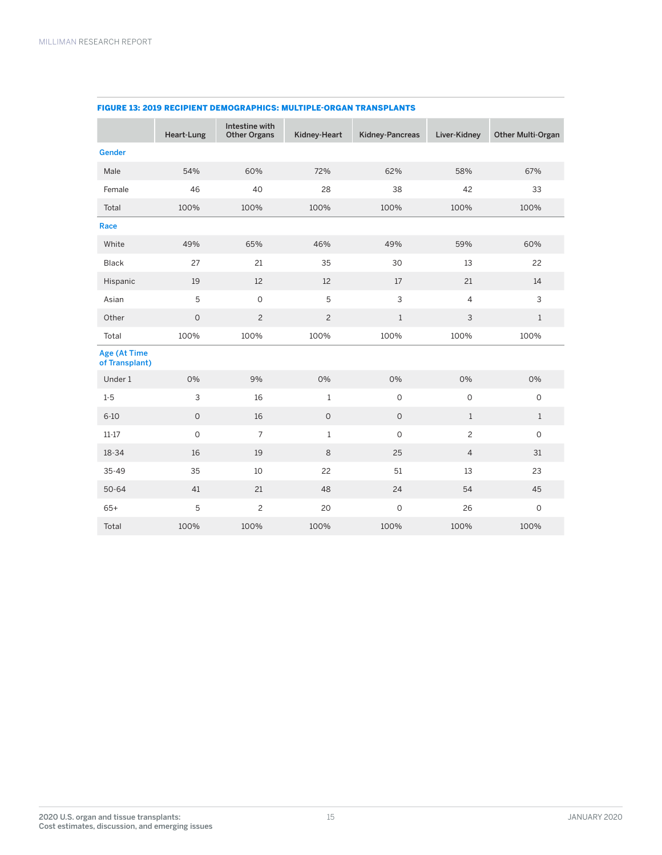|                                | Heart-Lung          | Intestine with<br><b>Other Organs</b> | Kidney-Heart   | Kidney-Pancreas | Liver-Kidney        | <b>Other Multi-Organ</b> |
|--------------------------------|---------------------|---------------------------------------|----------------|-----------------|---------------------|--------------------------|
| <b>Gender</b>                  |                     |                                       |                |                 |                     |                          |
| Male                           | 54%                 | 60%                                   | 72%            | 62%             | 58%                 | 67%                      |
| Female                         | 46                  | 40                                    | 28             | 38              | 42                  | 33                       |
| Total                          | 100%                | 100%                                  | 100%           | 100%            | 100%                | 100%                     |
| Race                           |                     |                                       |                |                 |                     |                          |
| White                          | 49%                 | 65%                                   | 46%            | 49%             | 59%                 | 60%                      |
| Black                          | 27                  | 21                                    | 35             | 30              | 13                  | 22                       |
| Hispanic                       | 19                  | 12                                    | 12             | 17              | 21                  | 14                       |
| Asian                          | $\mathbf 5$         | $\mathsf{O}\xspace$                   | 5              | $\mathsf{3}$    | $\overline{4}$      | 3                        |
| Other                          | $\mathsf{O}\xspace$ | $\overline{c}$                        | $\overline{c}$ | $\mathbf{1}$    | $\mathsf{3}$        | $\mathbf{1}$             |
| Total                          | 100%                | 100%                                  | 100%           | 100%            | 100%                | 100%                     |
| Age (At Time<br>of Transplant) |                     |                                       |                |                 |                     |                          |
| Under 1                        | 0%                  | 9%                                    | 0%             | 0%              | 0%                  | 0%                       |
| $1 - 5$                        | 3                   | 16                                    | $1\,$          | $\mathsf{O}$    | $\mathsf{O}\xspace$ | $\circ$                  |
| $6 - 10$                       | $\circ$             | 16                                    | $\circ$        | $\circ$         | $\mathbf{1}$        | $\mathbf{1}$             |
| $11 - 17$                      | $\mathsf{O}\xspace$ | $\overline{7}$                        | $1\,$          | $\mathbf 0$     | $\overline{c}$      | $\mathsf{O}$             |
| 18-34                          | 16                  | 19                                    | 8              | 25              | $\overline{4}$      | 31                       |
| $35 - 49$                      | 35                  | 10                                    | 22             | 51              | 13                  | 23                       |
| $50 - 64$                      | 41                  | 21                                    | 48             | 24              | 54                  | 45                       |
| $65+$                          | 5                   | $\overline{c}$                        | 20             | $\mathsf O$     | 26                  | $\mathbf 0$              |
| Total                          | 100%                | 100%                                  | 100%           | 100%            | 100%                | 100%                     |

## FIGURE 13: 2019 RECIPIENT DEMOGRAPHICS: MULTIPLE-ORGAN TRANSPLANTS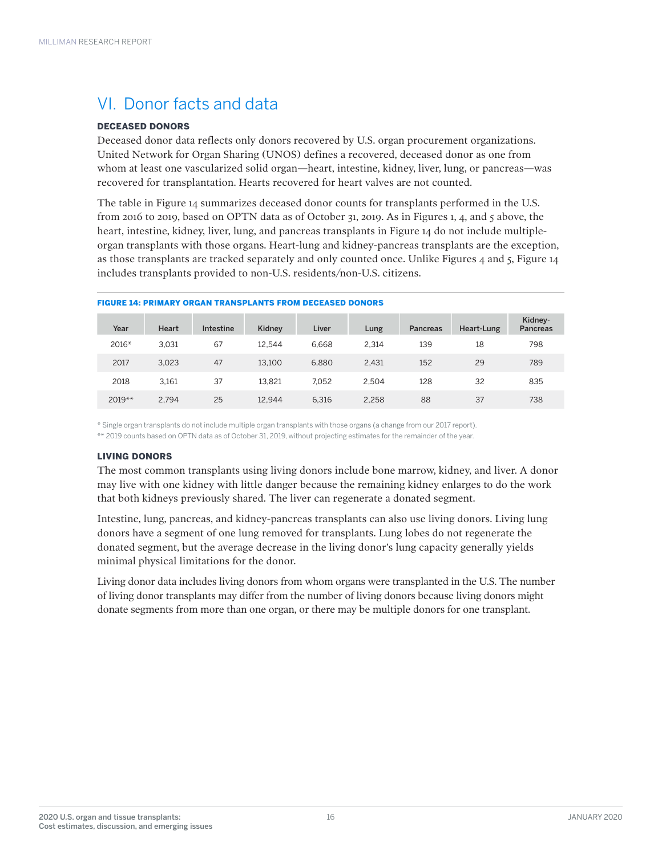# VI. Donor facts and data

# DECEASED DONORS

Deceased donor data reflects only donors recovered by U.S. organ procurement organizations. United Network for Organ Sharing (UNOS) defines a recovered, deceased donor as one from whom at least one vascularized solid organ—heart, intestine, kidney, liver, lung, or pancreas—was recovered for transplantation. Hearts recovered for heart valves are not counted.

The table in Figure 14 summarizes deceased donor counts for transplants performed in the U.S. from 2016 to 2019, based on OPTN data as of October 31, 2019. As in Figures 1, 4, and 5 above, the heart, intestine, kidney, liver, lung, and pancreas transplants in Figure 14 do not include multipleorgan transplants with those organs. Heart-lung and kidney-pancreas transplants are the exception, as those transplants are tracked separately and only counted once. Unlike Figures 4 and 5, Figure 14 includes transplants provided to non-U.S. residents/non-U.S. citizens.

| Year   | <b>Heart</b> | Intestine | Kidney | Liver | Lung  | <b>Pancreas</b> | Heart-Lung | Kidney-<br><b>Pancreas</b> |
|--------|--------------|-----------|--------|-------|-------|-----------------|------------|----------------------------|
| 2016*  | 3.031        | 67        | 12.544 | 6.668 | 2.314 | 139             | 18         | 798                        |
| 2017   | 3.023        | 47        | 13.100 | 6.880 | 2.431 | 152             | 29         | 789                        |
| 2018   | 3.161        | 37        | 13.821 | 7.052 | 2.504 | 128             | 32         | 835                        |
| 2019** | 2.794        | 25        | 12.944 | 6.316 | 2.258 | 88              | 37         | 738                        |

### FIGURE 14: PRIMARY ORGAN TRANSPLANTS FROM DECEASED DONORS

\* Single organ transplants do not include multiple organ transplants with those organs (a change from our 2017 report).

\*\* 2019 counts based on OPTN data as of October 31, 2019, without projecting estimates for the remainder of the year.

# LIVING DONORS

The most common transplants using living donors include bone marrow, kidney, and liver. A donor may live with one kidney with little danger because the remaining kidney enlarges to do the work that both kidneys previously shared. The liver can regenerate a donated segment.

Intestine, lung, pancreas, and kidney-pancreas transplants can also use living donors. Living lung donors have a segment of one lung removed for transplants. Lung lobes do not regenerate the donated segment, but the average decrease in the living donor's lung capacity generally yields minimal physical limitations for the donor.

Living donor data includes living donors from whom organs were transplanted in the U.S. The number of living donor transplants may differ from the number of living donors because living donors might donate segments from more than one organ, or there may be multiple donors for one transplant.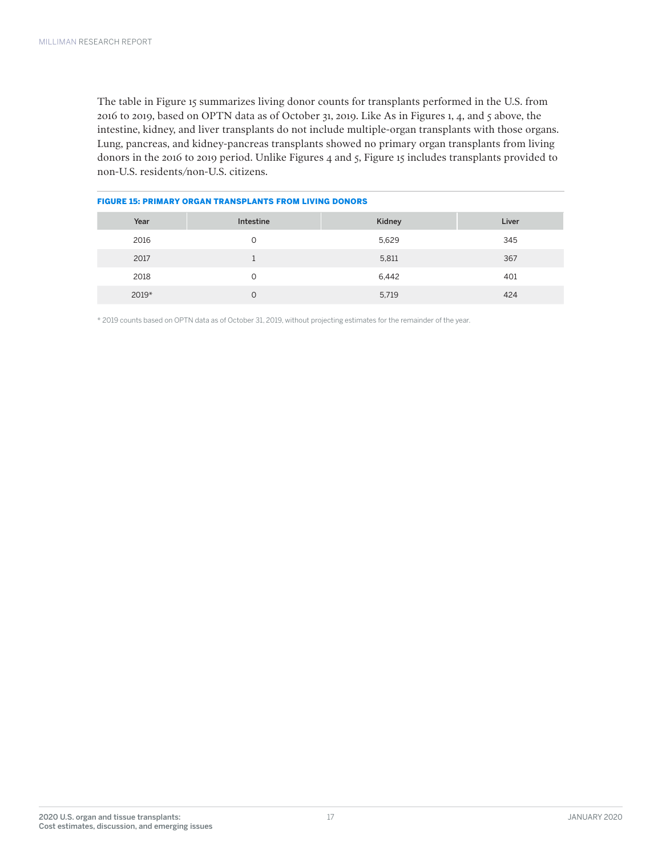The table in Figure 15 summarizes living donor counts for transplants performed in the U.S. from 2016 to 2019, based on OPTN data as of October 31, 2019. Like As in Figures 1, 4, and 5 above, the intestine, kidney, and liver transplants do not include multiple-organ transplants with those organs. Lung, pancreas, and kidney-pancreas transplants showed no primary organ transplants from living donors in the 2016 to 2019 period. Unlike Figures 4 and 5, Figure 15 includes transplants provided to non-U.S. residents/non-U.S. citizens.

| TIUURE 19. FRIMART URUAN TRANSFEANTS FRUM EIVINU DUNURS |           |        |       |  |  |  |
|---------------------------------------------------------|-----------|--------|-------|--|--|--|
| Year                                                    | Intestine | Kidney | Liver |  |  |  |
| 2016                                                    | $\Omega$  | 5,629  | 345   |  |  |  |
| 2017                                                    |           | 5,811  | 367   |  |  |  |
| 2018                                                    | $\Omega$  | 6,442  | 401   |  |  |  |
| $2019*$                                                 | O         | 5,719  | 424   |  |  |  |

# FIGURE 15: PRIMARY ORGAN TRANSPLANTS FROM LIVING DONORS

\* 2019 counts based on OPTN data as of October 31, 2019, without projecting estimates for the remainder of the year.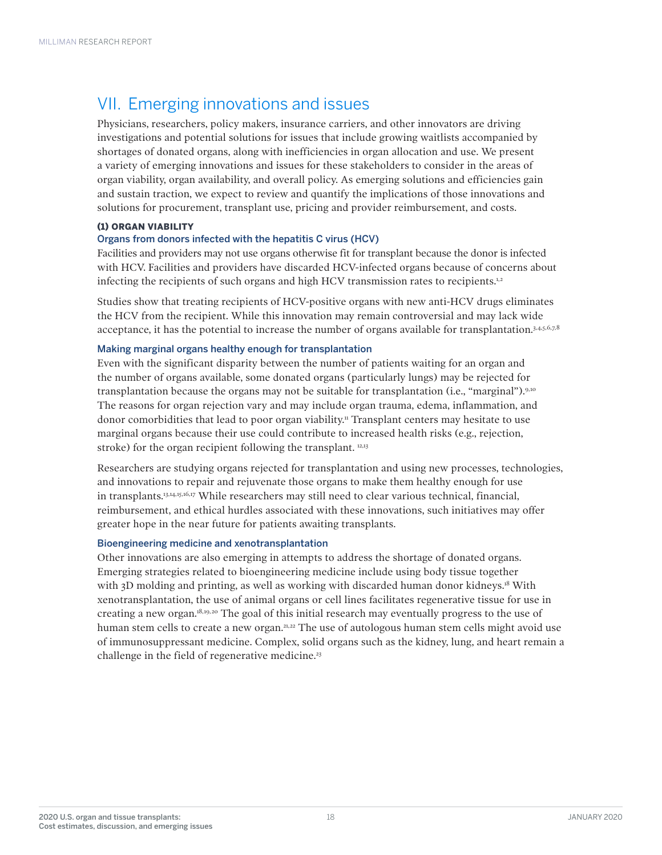# VII. Emerging innovations and issues

Physicians, researchers, policy makers, insurance carriers, and other innovators are driving investigations and potential solutions for issues that include growing waitlists accompanied by shortages of donated organs, along with inefficiencies in organ allocation and use. We present a variety of emerging innovations and issues for these stakeholders to consider in the areas of organ viability, organ availability, and overall policy. As emerging solutions and efficiencies gain and sustain traction, we expect to review and quantify the implications of those innovations and solutions for procurement, transplant use, pricing and provider reimbursement, and costs.

# (1) ORGAN VIABILITY

# Organs from donors infected with the hepatitis C virus (HCV)

Facilities and providers may not use organs otherwise fit for transplant because the donor is infected with HCV. Facilities and providers have discarded HCV-infected organs because of concerns about infecting the recipients of such organs and high HCV transmission rates to recipients.<sup>1,2</sup>

Studies show that treating recipients of HCV-positive organs with new anti-HCV drugs eliminates the HCV from the recipient. While this innovation may remain controversial and may lack wide acceptance, it has the potential to increase the number of organs available for transplantation.<sup>3,4,5,6,7,8</sup>

# Making marginal organs healthy enough for transplantation

Even with the significant disparity between the number of patients waiting for an organ and the number of organs available, some donated organs (particularly lungs) may be rejected for transplantation because the organs may not be suitable for transplantation (i.e., "marginal").9,10 The reasons for organ rejection vary and may include organ trauma, edema, inflammation, and donor comorbidities that lead to poor organ viability.11 Transplant centers may hesitate to use marginal organs because their use could contribute to increased health risks (e.g., rejection, stroke) for the organ recipient following the transplant. <sup>12,13</sup>

Researchers are studying organs rejected for transplantation and using new processes, technologies, and innovations to repair and rejuvenate those organs to make them healthy enough for use in transplants.13,14,15,16,17 While researchers may still need to clear various technical, financial, reimbursement, and ethical hurdles associated with these innovations, such initiatives may offer greater hope in the near future for patients awaiting transplants.

### Bioengineering medicine and xenotransplantation

Other innovations are also emerging in attempts to address the shortage of donated organs. Emerging strategies related to bioengineering medicine include using body tissue together with 3D molding and printing, as well as working with discarded human donor kidneys.<sup>18</sup> With xenotransplantation, the use of animal organs or cell lines facilitates regenerative tissue for use in creating a new organ.18,19,20 The goal of this initial research may eventually progress to the use of human stem cells to create a new organ.<sup>21,22</sup> The use of autologous human stem cells might avoid use of immunosuppressant medicine. Complex, solid organs such as the kidney, lung, and heart remain a challenge in the field of regenerative medicine.<sup>23</sup>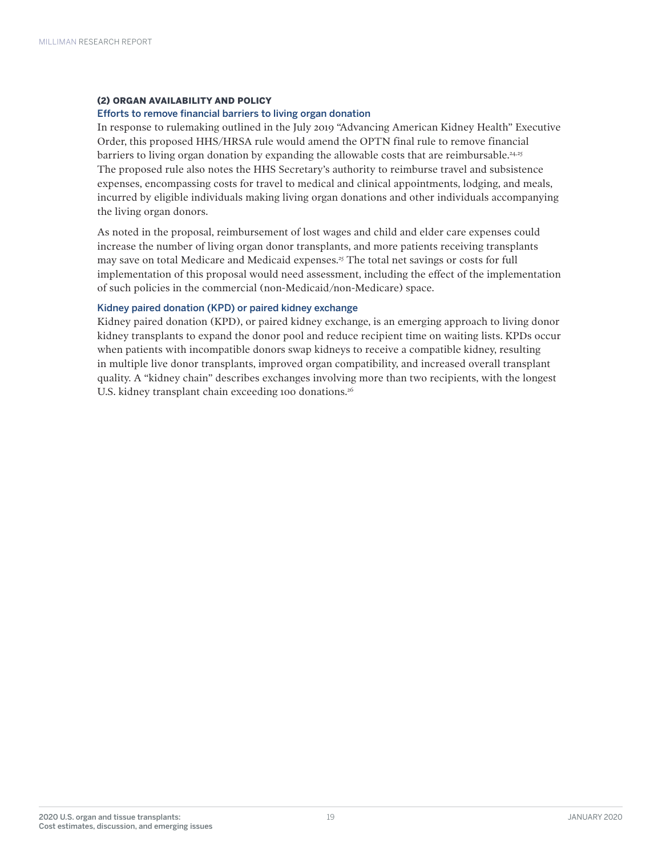### (2) ORGAN AVAILABILITY AND POLICY

### Efforts to remove financial barriers to living organ donation

In response to rulemaking outlined in the July 2019 "Advancing American Kidney Health" Executive Order, this proposed HHS/HRSA rule would amend the OPTN final rule to remove financial barriers to living organ donation by expanding the allowable costs that are reimbursable.<sup>24,25</sup> The proposed rule also notes the HHS Secretary's authority to reimburse travel and subsistence expenses, encompassing costs for travel to medical and clinical appointments, lodging, and meals, incurred by eligible individuals making living organ donations and other individuals accompanying the living organ donors.

As noted in the proposal, reimbursement of lost wages and child and elder care expenses could increase the number of living organ donor transplants, and more patients receiving transplants may save on total Medicare and Medicaid expenses.25 The total net savings or costs for full implementation of this proposal would need assessment, including the effect of the implementation of such policies in the commercial (non-Medicaid/non-Medicare) space.

### Kidney paired donation (KPD) or paired kidney exchange

Kidney paired donation (KPD), or paired kidney exchange, is an emerging approach to living donor kidney transplants to expand the donor pool and reduce recipient time on waiting lists. KPDs occur when patients with incompatible donors swap kidneys to receive a compatible kidney, resulting in multiple live donor transplants, improved organ compatibility, and increased overall transplant quality. A "kidney chain" describes exchanges involving more than two recipients, with the longest U.S. kidney transplant chain exceeding 100 donations.<sup>26</sup>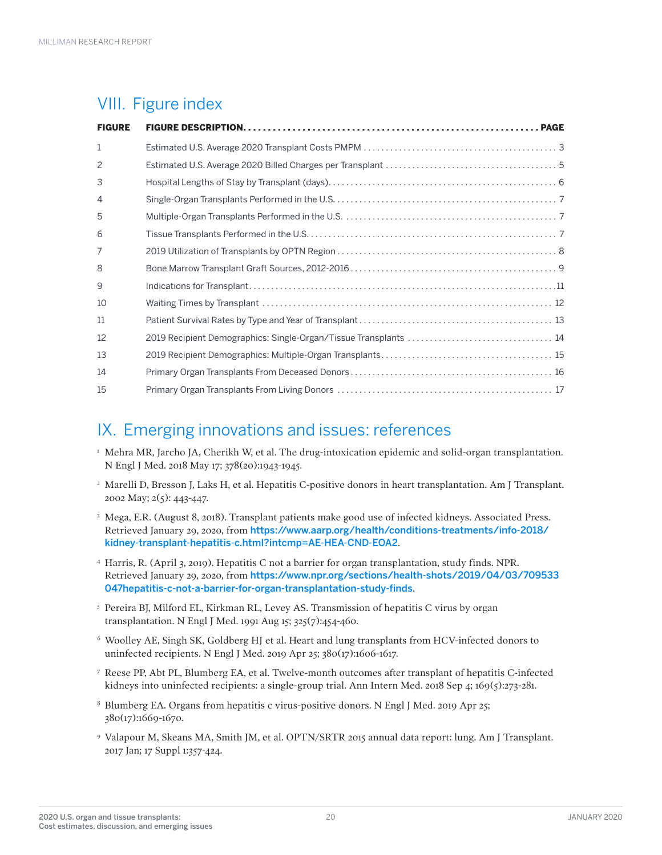# VIII. Figure index

| <b>FIGURE</b>  |  |
|----------------|--|
| $\mathbf{1}$   |  |
| 2              |  |
| 3              |  |
| $\overline{4}$ |  |
| 5              |  |
| 6              |  |
| 7              |  |
| 8              |  |
| 9              |  |
| 10             |  |
| 11             |  |
| 12             |  |
| 13             |  |
| 14             |  |
| 15             |  |

# IX. Emerging innovations and issues: references

- <sup>1</sup> Mehra MR, Jarcho JA, Cherikh W, et al. The drug-intoxication epidemic and solid-organ transplantation. N Engl J Med. 2018 May 17; 378(20):1943-1945.
- <sup>2</sup> Marelli D, Bresson J, Laks H, et al. Hepatitis C-positive donors in heart transplantation. Am J Transplant. 2002 May; 2(5): 443-447.
- <sup>3</sup> Mega, E.R. (August 8, 2018). Transplant patients make good use of infected kidneys. Associated Press. Retrieved January 29, 2020, from https://www.aarp.org/health/conditions-treatments/info-2018/ kidney-transplant-hepatitis-c.html?intcmp=AE-HEA-CND-EOA2.
- <sup>4</sup> Harris, R. (April 3, 2019). Hepatitis C not a barrier for organ transplantation, study finds. NPR. Retrieved January 29, 2020, from https://www.npr.org/sections/health-shots/2019/04/03/709533 047hepatitis-c-not-a-barrier-for-organ-transplantation-study-finds.
- <sup>5</sup> Pereira BJ, Milford EL, Kirkman RL, Levey AS. Transmission of hepatitis C virus by organ transplantation. N Engl J Med. 1991 Aug 15; 325(7):454-460.
- 6 Woolley AE, Singh SK, Goldberg HJ et al. Heart and lung transplants from HCV-infected donors to uninfected recipients. N Engl J Med. 2019 Apr 25; 380(17):1606-1617.
- <sup>7</sup> Reese PP, Abt PL, Blumberg EA, et al. Twelve-month outcomes after transplant of hepatitis C-infected kidneys into uninfected recipients: a single-group trial. Ann Intern Med. 2018 Sep 4; 169(5):273-281.
- <sup>8</sup> Blumberg EA. Organs from hepatitis c virus-positive donors. N Engl J Med. 2019 Apr 25; 380(17):1669-1670.
- <sup>9</sup> Valapour M, Skeans MA, Smith JM, et al. OPTN/SRTR 2015 annual data report: lung. Am J Transplant. 2017 Jan; 17 Suppl 1:357-424.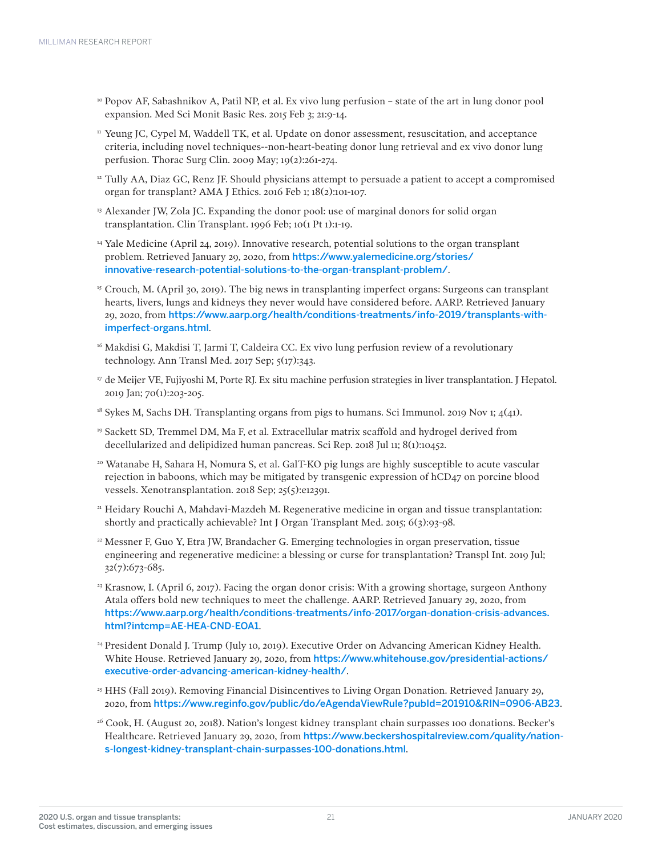- <sup>10</sup> Popov AF, Sabashnikov A, Patil NP, et al. Ex vivo lung perfusion state of the art in lung donor pool expansion. Med Sci Monit Basic Res. 2015 Feb 3; 21:9-14.
- <sup>11</sup> Yeung JC, Cypel M, Waddell TK, et al. Update on donor assessment, resuscitation, and acceptance criteria, including novel techniques--non-heart-beating donor lung retrieval and ex vivo donor lung perfusion. Thorac Surg Clin. 2009 May; 19(2):261-274.
- <sup>12</sup> Tully AA, Diaz GC, Renz JF. Should physicians attempt to persuade a patient to accept a compromised organ for transplant? AMA J Ethics. 2016 Feb 1; 18(2):101-107.
- <sup>13</sup> Alexander JW, Zola JC. Expanding the donor pool: use of marginal donors for solid organ transplantation. Clin Transplant. 1996 Feb; 10(1 Pt 1):1-19.
- <sup>14</sup> Yale Medicine (April 24, 2019). Innovative research, potential solutions to the organ transplant problem. Retrieved January 29, 2020, from https://www.yalemedicine.org/stories/ innovative-research-potential-solutions-to-the-organ-transplant-problem/.
- <sup>15</sup> Crouch, M. (April 30, 2019). The big news in transplanting imperfect organs: Surgeons can transplant hearts, livers, lungs and kidneys they never would have considered before. AARP. Retrieved January 29, 2020, from https://www.aarp.org/health/conditions-treatments/info-2019/transplants-withimperfect-organs.html.
- $16$  Makdisi G, Makdisi T, Jarmi T, Caldeira CC. Ex vivo lung perfusion review of a revolutionary technology. Ann Transl Med. 2017 Sep; 5(17):343.
- $17$  de Meijer VE, Fujiyoshi M, Porte RJ. Ex situ machine perfusion strategies in liver transplantation. J Hepatol. 2019 Jan; 70(1):203-205.
- <sup>18</sup> Sykes M, Sachs DH. Transplanting organs from pigs to humans. Sci Immunol. 2019 Nov 1;  $4(41)$ .
- <sup>19</sup> Sackett SD, Tremmel DM, Ma F, et al. Extracellular matrix scaffold and hydrogel derived from decellularized and delipidized human pancreas. Sci Rep. 2018 Jul 11; 8(1):10452.
- 20 Watanabe H, Sahara H, Nomura S, et al. GalT-KO pig lungs are highly susceptible to acute vascular rejection in baboons, which may be mitigated by transgenic expression of hCD47 on porcine blood vessels. Xenotransplantation. 2018 Sep; 25(5):e12391.
- <sup>21</sup> Heidary Rouchi A, Mahdavi-Mazdeh M. Regenerative medicine in organ and tissue transplantation: shortly and practically achievable? Int J Organ Transplant Med. 2015; 6(3):93-98.
- <sup>22</sup> Messner F, Guo Y, Etra JW, Brandacher G. Emerging technologies in organ preservation, tissue engineering and regenerative medicine: a blessing or curse for transplantation? Transpl Int. 2019 Jul; 32(7):673-685.
- <sup>23</sup> Krasnow, I. (April 6, 2017). Facing the organ donor crisis: With a growing shortage, surgeon Anthony Atala offers bold new techniques to meet the challenge. AARP. Retrieved January 29, 2020, from https://www.aarp.org/health/conditions-treatments/info-2017/organ-donation-crisis-advances. html?intcmp=AE-HEA-CND-EOA1.
- <sup>24</sup> President Donald J. Trump (July 10, 2019). Executive Order on Advancing American Kidney Health. White House. Retrieved January 29, 2020, from https://www.whitehouse.gov/presidential-actions/ executive-order-advancing-american-kidney-health/.
- <sup>25</sup> HHS (Fall 2019). Removing Financial Disincentives to Living Organ Donation. Retrieved January 29, 2020, from https://www.reginfo.gov/public/do/eAgendaViewRule?pubId=201910&RIN=0906-AB23.
- 26 Cook, H. (August 20, 2018). Nation's longest kidney transplant chain surpasses 100 donations. Becker's Healthcare. Retrieved January 29, 2020, from https://www.beckershospitalreview.com/quality/nations-longest-kidney-transplant-chain-surpasses-100-donations.html.